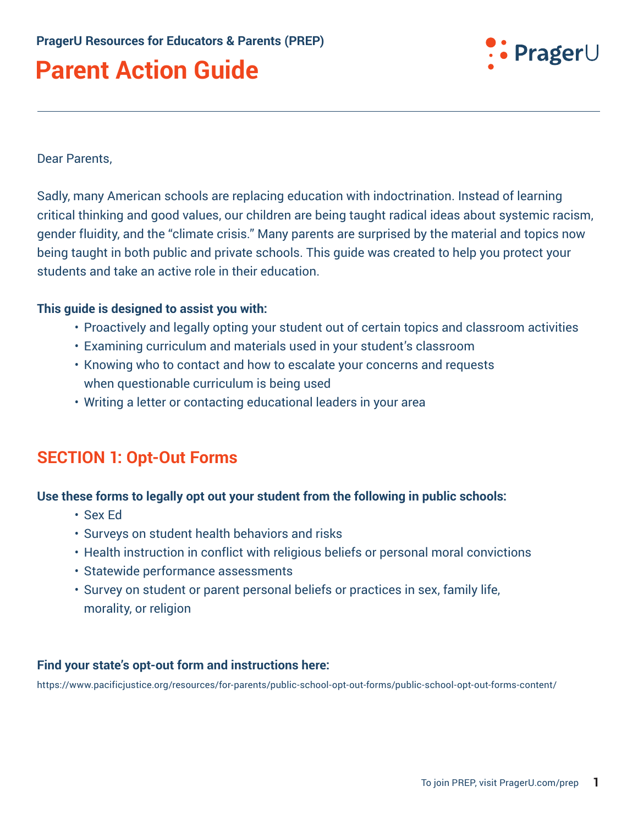

#### Dear Parents,

Sadly, many American schools are replacing education with indoctrination. Instead of learning critical thinking and good values, our children are being taught radical ideas about systemic racism, gender fluidity, and the "climate crisis." Many parents are surprised by the material and topics now being taught in both public and private schools. This guide was created to help you protect your students and take an active role in their education.

#### **This guide is designed to assist you with:**

- Proactively and legally opting your student out of certain topics and classroom activities
- Examining curriculum and materials used in your student's classroom
- Knowing who to contact and how to escalate your concerns and requests when questionable curriculum is being used
- Writing a letter or contacting educational leaders in your area

## **SECTION 1: Opt-Out Forms**

#### **Use these forms to legally opt out your student from the following in public schools:**

- Sex Ed
- Surveys on student health behaviors and risks
- Health instruction in conflict with religious beliefs or personal moral convictions
- Statewide performance assessments
- Survey on student or parent personal beliefs or practices in sex, family life, morality, or religion

#### **Find your state's opt-out form and instructions here:**

<https://www.pacificjustice.org/resources/for-parents/public-school-opt-out-forms/public-school-opt-out-forms-content/>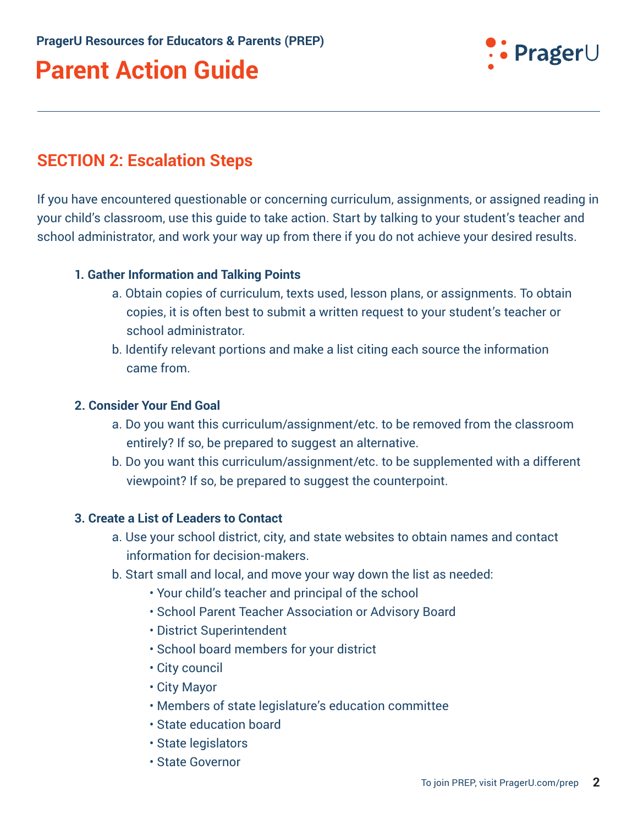

### **SECTION 2: Escalation Steps**

If you have encountered questionable or concerning curriculum, assignments, or assigned reading in your child's classroom, use this guide to take action. Start by talking to your student's teacher and school administrator, and work your way up from there if you do not achieve your desired results.

#### **1. Gather Information and Talking Points**

- a. Obtain copies of curriculum, texts used, lesson plans, or assignments. To obtain copies, it is often best to submit a written request to your student's teacher or school administrator.
- b. Identify relevant portions and make a list citing each source the information came from.

#### **2. Consider Your End Goal**

- a. Do you want this curriculum/assignment/etc. to be removed from the classroom entirely? If so, be prepared to suggest an alternative.
- b. Do you want this curriculum/assignment/etc. to be supplemented with a different viewpoint? If so, be prepared to suggest the counterpoint.

#### **3. Create a List of Leaders to Contact**

- a. Use your school district, city, and state websites to obtain names and contact information for decision-makers.
- b. Start small and local, and move your way down the list as needed:
	- Your child's teacher and principal of the school
	- School Parent Teacher Association or Advisory Board
	- District Superintendent
	- School board members for your district
	- City council
	- City Mayor
	- Members of state legislature's education committee
	- State education board
	- State legislators
	- State Governor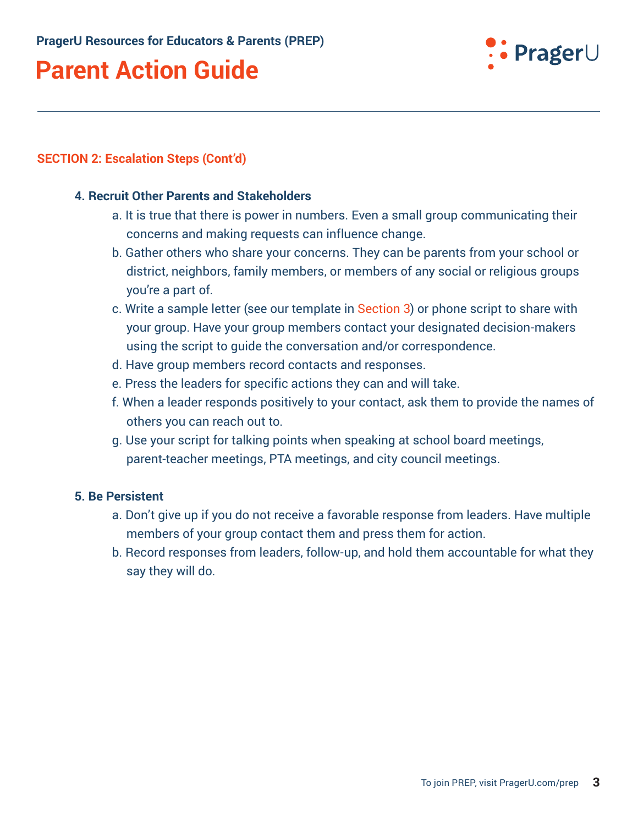

#### **SECTION 2: Escalation Steps (Cont'd)**

#### **4. Recruit Other Parents and Stakeholders**

- a. It is true that there is power in numbers. Even a small group communicating their concerns and making requests can influence change.
- b. Gather others who share your concerns. They can be parents from your school or district, neighbors, family members, or members of any social or religious groups you're a part of.
- c. Write a sample letter (see our template in Section 3) or phone script to share with your group. Have your group members contact your designated decision-makers using the script to guide the conversation and/or correspondence.
- d. Have group members record contacts and responses.
- e. Press the leaders for specific actions they can and will take.
- f. When a leader responds positively to your contact, ask them to provide the names of others you can reach out to.
- g. Use your script for talking points when speaking at school board meetings, parent-teacher meetings, PTA meetings, and city council meetings.

#### **5. Be Persistent**

- a. Don't give up if you do not receive a favorable response from leaders. Have multiple members of your group contact them and press them for action.
- b. Record responses from leaders, follow-up, and hold them accountable for what they say they will do.